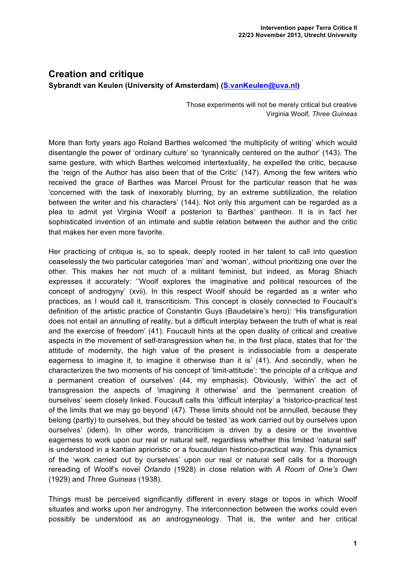## **Creation and critique Sybrandt van Keulen (University of Amsterdam) (S.vanKeulen@uva.nl)**

Those experiments will not be merely critical but creative Virginia Woolf*, Three Guineas*

More than forty years ago Roland Barthes welcomed 'the multiplicity of writing' which would disentangle the power of 'ordinary culture' so 'tyrannically centered on the author' (143). The same gesture, with which Barthes welcomed intertextuality, he expelled the critic, because the 'reign of the Author has also been that of the Critic' (147). Among the few writers who received the grace of Barthes was Marcel Proust for the particular reason that he was 'concerned with the task of inexorably blurring, by an extreme subtilization, the relation between the writer and his characters' (144). Not only this argument can be regarded as a plea to admit yet Virginia Woolf a posteriori to Barthes' pantheon. It is in fact her sophisticated invention of an intimate and subtle relation between the author and the critic that makes her even more favorite.

Her practicing of critique is, so to speak, deeply rooted in her talent to call into question ceaselessly the two particular categories 'man' and 'woman', without prioritizing one over the other. This makes her not much of a militant feminist, but indeed, as Morag Shiach expresses it accurately: ''Woolf explores the imaginative and political resources of the concept of androgyny' (xvii). In this respect Woolf should be regarded as a writer who practices, as I would call it, transcriticism. This concept is closely connected to Foucault's definition of the artistic practice of Constantin Guys (Baudelaire's hero): 'His transfiguration does not entail an annulling of reality, but a difficult interplay between the truth of what is real and the exercise of freedom' (41). Foucault hints at the open duality of critical and creative aspects in the movement of self-transgression when he, in the first place, states that for 'the attitude of modernity, the high value of the present is indissociable from a desperate eagerness to imagine it, to imagine it otherwise than it is' (41). And secondly, when he characterizes the two moments of his concept of 'limit-attitude': 'the principle of a critique *and* a permanent creation of ourselves' (44, my emphasis). Obviously, 'within' the act of transgression the aspects of 'imagining it otherwise' and the 'permanent creation of ourselves' seem closely linked. Foucault calls this 'difficult interplay' a 'historico-practical test of the limits that we may go beyond' (47). These limits should not be annulled, because they belong (partly) to ourselves, but they should be tested 'as work carried out by ourselves upon ourselves' (idem). In other words, trancriticism is driven by a desire or the inventive eagerness to work upon our real or natural self, regardless whether this limited 'natural self' is understood in a kantian aprioristic or a foucauldian historico-practical way. This dynamics of the 'work carried out by ourselves' upon our real or natural self calls for a thorough rereading of Woolf's novel *Orlando* (1928) in close relation with *A Room of One's Own*  (1929) and *Three Guineas* (1938)*.*

Things must be perceived significantly different in every stage or topos in which Woolf situates and works upon her androgyny. The interconnection between the works could even possibly be understood as an androgyneology. That is, the writer and her critical